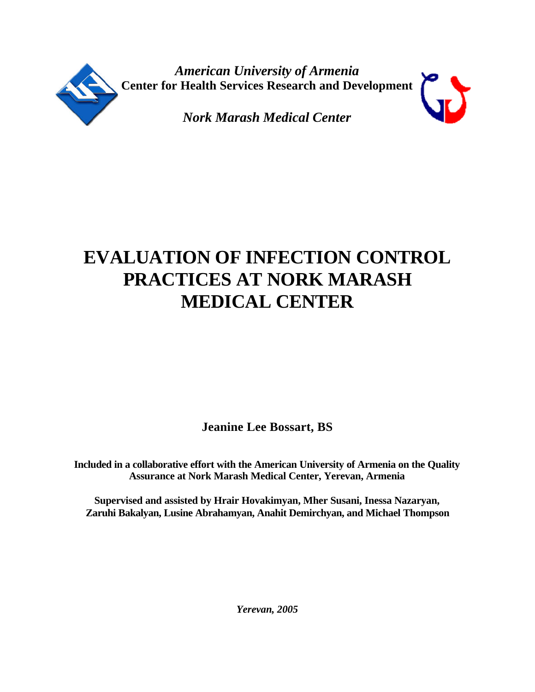



**Jeanine Lee Bossart, BS**

**Included in a collaborative effort with the American University of Armenia on the Quality Assurance at Nork Marash Medical Center, Yerevan, Armenia**

**Supervised and assisted by Hrair Hovakimyan, Mher Susani, Inessa Nazaryan, Zaruhi Bakalyan, Lusine Abrahamyan, Anahit Demirchyan, and Michael Thompson**

*Yerevan, 2005*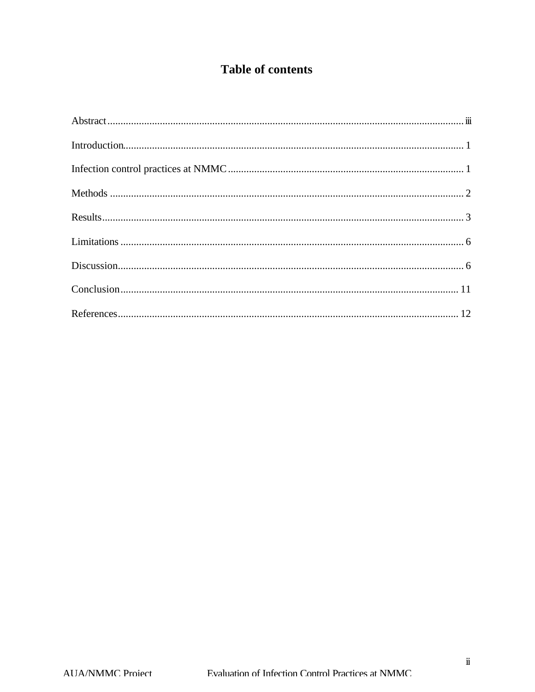# **Table of contents**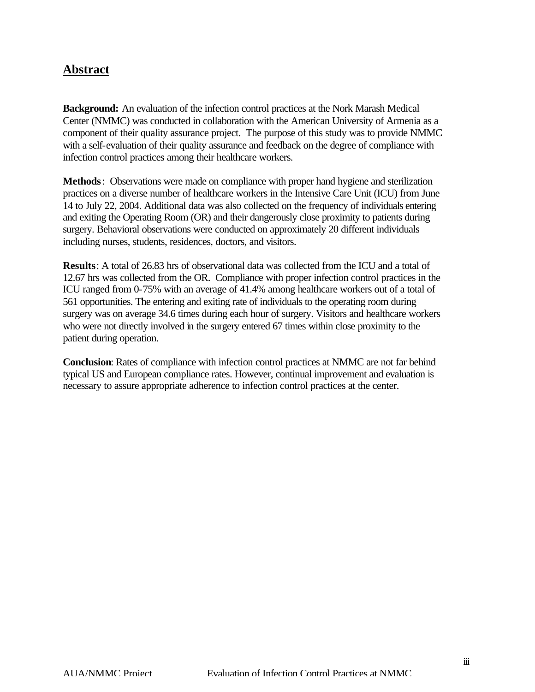# **Abstract**

**Background:** An evaluation of the infection control practices at the Nork Marash Medical Center (NMMC) was conducted in collaboration with the American University of Armenia as a component of their quality assurance project. The purpose of this study was to provide NMMC with a self-evaluation of their quality assurance and feedback on the degree of compliance with infection control practices among their healthcare workers.

**Methods**: Observations were made on compliance with proper hand hygiene and sterilization practices on a diverse number of healthcare workers in the Intensive Care Unit (ICU) from June 14 to July 22, 2004. Additional data was also collected on the frequency of individuals entering and exiting the Operating Room (OR) and their dangerously close proximity to patients during surgery. Behavioral observations were conducted on approximately 20 different individuals including nurses, students, residences, doctors, and visitors.

**Results**: A total of 26.83 hrs of observational data was collected from the ICU and a total of 12.67 hrs was collected from the OR. Compliance with proper infection control practices in the ICU ranged from 0-75% with an average of 41.4% among healthcare workers out of a total of 561 opportunities. The entering and exiting rate of individuals to the operating room during surgery was on average 34.6 times during each hour of surgery. Visitors and healthcare workers who were not directly involved in the surgery entered 67 times within close proximity to the patient during operation.

**Conclusion**: Rates of compliance with infection control practices at NMMC are not far behind typical US and European compliance rates. However, continual improvement and evaluation is necessary to assure appropriate adherence to infection control practices at the center.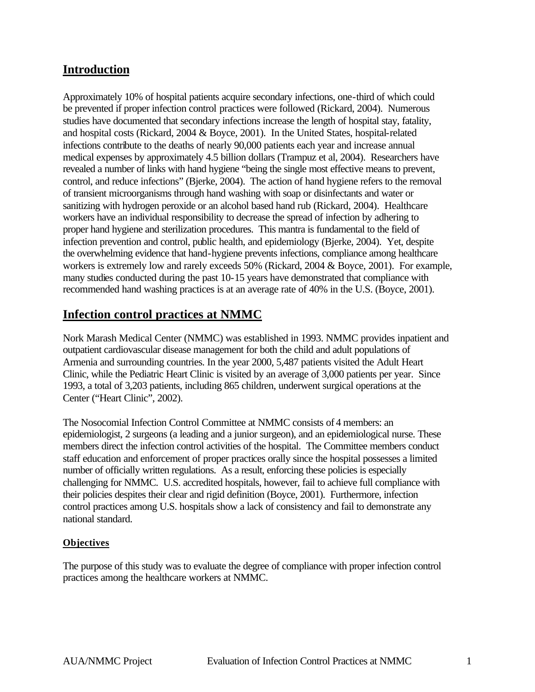# **Introduction**

Approximately 10% of hospital patients acquire secondary infections, one-third of which could be prevented if proper infection control practices were followed (Rickard, 2004). Numerous studies have documented that secondary infections increase the length of hospital stay, fatality, and hospital costs (Rickard, 2004 & Boyce, 2001). In the United States, hospital-related infections contribute to the deaths of nearly 90,000 patients each year and increase annual medical expenses by approximately 4.5 billion dollars (Trampuz et al, 2004). Researchers have revealed a number of links with hand hygiene "being the single most effective means to prevent, control, and reduce infections" (Bjerke, 2004). The action of hand hygiene refers to the removal of transient microorganisms through hand washing with soap or disinfectants and water or sanitizing with hydrogen peroxide or an alcohol based hand rub (Rickard, 2004). Healthcare workers have an individual responsibility to decrease the spread of infection by adhering to proper hand hygiene and sterilization procedures. This mantra is fundamental to the field of infection prevention and control, public health, and epidemiology (Bjerke, 2004). Yet, despite the overwhelming evidence that hand-hygiene prevents infections, compliance among healthcare workers is extremely low and rarely exceeds 50% (Rickard, 2004 & Boyce, 2001). For example, many studies conducted during the past 10-15 years have demonstrated that compliance with recommended hand washing practices is at an average rate of 40% in the U.S. (Boyce, 2001).

# **Infection control practices at NMMC**

Nork Marash Medical Center (NMMC) was established in 1993. NMMC provides inpatient and outpatient cardiovascular disease management for both the child and adult populations of Armenia and surrounding countries. In the year 2000, 5,487 patients visited the Adult Heart Clinic, while the Pediatric Heart Clinic is visited by an average of 3,000 patients per year. Since 1993, a total of 3,203 patients, including 865 children, underwent surgical operations at the Center ("Heart Clinic", 2002).

The Nosocomial Infection Control Committee at NMMC consists of 4 members: an epidemiologist, 2 surgeons (a leading and a junior surgeon), and an epidemiological nurse. These members direct the infection control activities of the hospital. The Committee members conduct staff education and enforcement of proper practices orally since the hospital possesses a limited number of officially written regulations. As a result, enforcing these policies is especially challenging for NMMC. U.S. accredited hospitals, however, fail to achieve full compliance with their policies despites their clear and rigid definition (Boyce, 2001). Furthermore, infection control practices among U.S. hospitals show a lack of consistency and fail to demonstrate any national standard.

#### **Objectives**

The purpose of this study was to evaluate the degree of compliance with proper infection control practices among the healthcare workers at NMMC.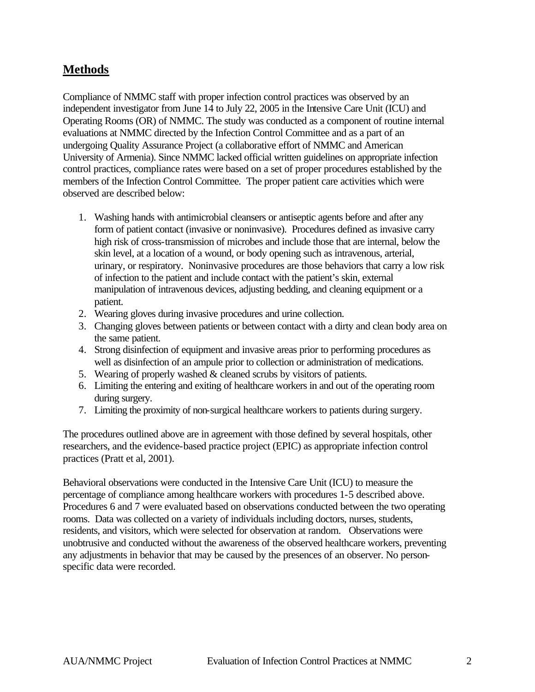# **Methods**

Compliance of NMMC staff with proper infection control practices was observed by an independent investigator from June 14 to July 22, 2005 in the Intensive Care Unit (ICU) and Operating Rooms (OR) of NMMC. The study was conducted as a component of routine internal evaluations at NMMC directed by the Infection Control Committee and as a part of an undergoing Quality Assurance Project (a collaborative effort of NMMC and American University of Armenia). Since NMMC lacked official written guidelines on appropriate infection control practices, compliance rates were based on a set of proper procedures established by the members of the Infection Control Committee. The proper patient care activities which were observed are described below:

- 1. Washing hands with antimicrobial cleansers or antiseptic agents before and after any form of patient contact (invasive or noninvasive). Procedures defined as invasive carry high risk of cross-transmission of microbes and include those that are internal, below the skin level, at a location of a wound, or body opening such as intravenous, arterial, urinary, or respiratory. Noninvasive procedures are those behaviors that carry a low risk of infection to the patient and include contact with the patient's skin, external manipulation of intravenous devices, adjusting bedding, and cleaning equipment or a patient.
- 2. Wearing gloves during invasive procedures and urine collection.
- 3. Changing gloves between patients or between contact with a dirty and clean body area on the same patient.
- 4. Strong disinfection of equipment and invasive areas prior to performing procedures as well as disinfection of an ampule prior to collection or administration of medications.
- 5. Wearing of properly washed & cleaned scrubs by visitors of patients.
- 6. Limiting the entering and exiting of healthcare workers in and out of the operating room during surgery.
- 7. Limiting the proximity of non-surgical healthcare workers to patients during surgery.

The procedures outlined above are in agreement with those defined by several hospitals, other researchers, and the evidence-based practice project (EPIC) as appropriate infection control practices (Pratt et al, 2001).

Behavioral observations were conducted in the Intensive Care Unit (ICU) to measure the percentage of compliance among healthcare workers with procedures 1-5 described above. Procedures 6 and 7 were evaluated based on observations conducted between the two operating rooms. Data was collected on a variety of individuals including doctors, nurses, students, residents, and visitors, which were selected for observation at random. Observations were unobtrusive and conducted without the awareness of the observed healthcare workers, preventing any adjustments in behavior that may be caused by the presences of an observer. No personspecific data were recorded.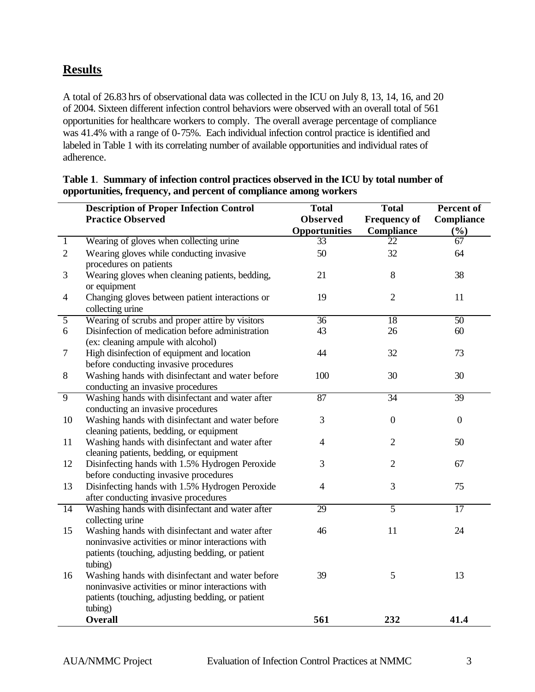# **Results**

A total of 26.83 hrs of observational data was collected in the ICU on July 8, 13, 14, 16, and 20 of 2004. Sixteen different infection control behaviors were observed with an overall total of 561 opportunities for healthcare workers to comply. The overall average percentage of compliance was 41.4% with a range of 0-75%. Each individual infection control practice is identified and labeled in Table 1 with its correlating number of available opportunities and individual rates of adherence.

|                 | <b>Description of Proper Infection Control</b><br><b>Practice Observed</b>                                                                                 | <b>Total</b><br><b>Observed</b> | <b>Total</b><br><b>Frequency of</b> | Percent of<br>Compliance |
|-----------------|------------------------------------------------------------------------------------------------------------------------------------------------------------|---------------------------------|-------------------------------------|--------------------------|
|                 |                                                                                                                                                            | Opportunities                   | <b>Compliance</b>                   | (%)                      |
| $\mathbf{1}$    | Wearing of gloves when collecting urine                                                                                                                    | 33                              | 22                                  | 67                       |
| $\overline{2}$  | Wearing gloves while conducting invasive<br>procedures on patients                                                                                         | 50                              | 32                                  | 64                       |
| 3               | Wearing gloves when cleaning patients, bedding,<br>or equipment                                                                                            | 21                              | $8\,$                               | 38                       |
| $\overline{4}$  | Changing gloves between patient interactions or<br>collecting urine                                                                                        | 19                              | $\overline{2}$                      | 11                       |
| $\overline{5}$  | Wearing of scrubs and proper attire by visitors                                                                                                            | $\overline{36}$                 | $\overline{18}$                     | $\overline{50}$          |
| 6               | Disinfection of medication before administration<br>(ex: cleaning ampule with alcohol)                                                                     | 43                              | 26                                  | 60                       |
| 7               | High disinfection of equipment and location<br>before conducting invasive procedures                                                                       | 44                              | 32                                  | 73                       |
| 8               | Washing hands with disinfectant and water before<br>conducting an invasive procedures                                                                      | 100                             | 30                                  | 30                       |
| $\overline{9}$  | Washing hands with disinfectant and water after                                                                                                            | 87                              | $\overline{34}$                     | 39                       |
|                 | conducting an invasive procedures                                                                                                                          |                                 |                                     |                          |
| 10              | Washing hands with disinfectant and water before                                                                                                           | 3                               | $\boldsymbol{0}$                    | $\boldsymbol{0}$         |
| 11              | cleaning patients, bedding, or equipment<br>Washing hands with disinfectant and water after                                                                | $\overline{4}$                  | $\mathbf{2}$                        | 50                       |
|                 | cleaning patients, bedding, or equipment                                                                                                                   |                                 |                                     |                          |
| 12              | Disinfecting hands with 1.5% Hydrogen Peroxide<br>before conducting invasive procedures                                                                    | 3                               | $\overline{2}$                      | 67                       |
| 13              | Disinfecting hands with 1.5% Hydrogen Peroxide<br>after conducting invasive procedures                                                                     | $\overline{4}$                  | 3                                   | 75                       |
| $\overline{14}$ | Washing hands with disinfectant and water after                                                                                                            | 29                              | $\overline{5}$                      | $\overline{17}$          |
|                 | collecting urine                                                                                                                                           |                                 |                                     |                          |
| 15              | Washing hands with disinfectant and water after                                                                                                            | 46                              | 11                                  | 24                       |
|                 | noninvasive activities or minor interactions with<br>patients (touching, adjusting bedding, or patient<br>tubing)                                          |                                 |                                     |                          |
| 16              | Washing hands with disinfectant and water before<br>noninvasive activities or minor interactions with<br>patients (touching, adjusting bedding, or patient | 39                              | 5                                   | 13                       |
|                 | tubing)<br><b>Overall</b>                                                                                                                                  | 561                             | 232                                 | 41.4                     |

#### **Table 1**. **Summary of infection control practices observed in the ICU by total number of opportunities, frequency, and percent of compliance among workers**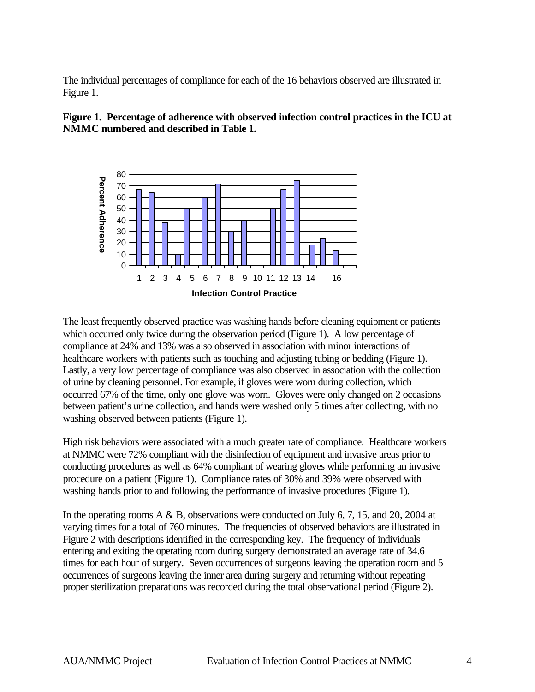The individual percentages of compliance for each of the 16 behaviors observed are illustrated in Figure 1.





The least frequently observed practice was washing hands before cleaning equipment or patients which occurred only twice during the observation period (Figure 1). A low percentage of compliance at 24% and 13% was also observed in association with minor interactions of healthcare workers with patients such as touching and adjusting tubing or bedding (Figure 1). Lastly, a very low percentage of compliance was also observed in association with the collection of urine by cleaning personnel. For example, if gloves were worn during collection, which occurred 67% of the time, only one glove was worn. Gloves were only changed on 2 occasions between patient's urine collection, and hands were washed only 5 times after collecting, with no washing observed between patients (Figure 1).

High risk behaviors were associated with a much greater rate of compliance. Healthcare workers at NMMC were 72% compliant with the disinfection of equipment and invasive areas prior to conducting procedures as well as 64% compliant of wearing gloves while performing an invasive procedure on a patient (Figure 1). Compliance rates of 30% and 39% were observed with washing hands prior to and following the performance of invasive procedures (Figure 1).

In the operating rooms  $A \& B$ , observations were conducted on July 6, 7, 15, and 20, 2004 at varying times for a total of 760 minutes. The frequencies of observed behaviors are illustrated in Figure 2 with descriptions identified in the corresponding key. The frequency of individuals entering and exiting the operating room during surgery demonstrated an average rate of 34.6 times for each hour of surgery. Seven occurrences of surgeons leaving the operation room and 5 occurrences of surgeons leaving the inner area during surgery and returning without repeating proper sterilization preparations was recorded during the total observational period (Figure 2).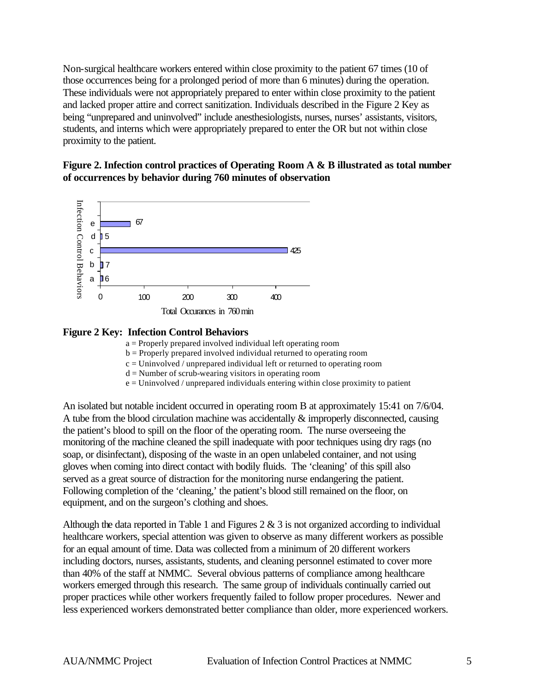Non-surgical healthcare workers entered within close proximity to the patient 67 times (10 of those occurrences being for a prolonged period of more than 6 minutes) during the operation. These individuals were not appropriately prepared to enter within close proximity to the patient and lacked proper attire and correct sanitization. Individuals described in the Figure 2 Key as being "unprepared and uninvolved" include anesthesiologists, nurses, nurses' assistants, visitors, students, and interns which were appropriately prepared to enter the OR but not within close proximity to the patient.

#### **Figure 2. Infection control practices of Operating Room A & B illustrated as total number of occurrences by behavior during 760 minutes of observation**



#### **Figure 2 Key: Infection Control Behaviors**

a = Properly prepared involved individual left operating room

b = Properly prepared involved individual returned to operating room

 $c =$  Uninvolved / unprepared individual left or returned to operating room

 $d =$  Number of scrub-wearing visitors in operating room

e = Uninvolved / unprepared individuals entering within close proximity to patient

An isolated but notable incident occurred in operating room B at approximately 15:41 on 7/6/04. A tube from the blood circulation machine was accidentally & improperly disconnected, causing the patient's blood to spill on the floor of the operating room. The nurse overseeing the monitoring of the machine cleaned the spill inadequate with poor techniques using dry rags (no soap, or disinfectant), disposing of the waste in an open unlabeled container, and not using gloves when coming into direct contact with bodily fluids. The 'cleaning' of this spill also served as a great source of distraction for the monitoring nurse endangering the patient. Following completion of the 'cleaning,' the patient's blood still remained on the floor, on equipment, and on the surgeon's clothing and shoes. **Experimentation** of the **Control Behavior in the Control Behavior** ( $\Phi$  **Experimentation** Control Behaviors are properly prepared movied dimotional left operating room  $\Phi$ . From the complete than older than older in th

Although the data reported in Table 1 and Figures  $2 \& 3$  is not organized according to individual healthcare workers, special attention was given to observe as many different workers as possible for an equal amount of time. Data was collected from a minimum of 20 different workers including doctors, nurses, assistants, students, and cleaning personnel estimated to cover more than 40% of the staff at NMMC. Several obvious patterns of compliance among healthcare workers emerged through this research. The same group of individuals continually carried out proper practices while other workers frequently failed to follow proper procedures. Newer and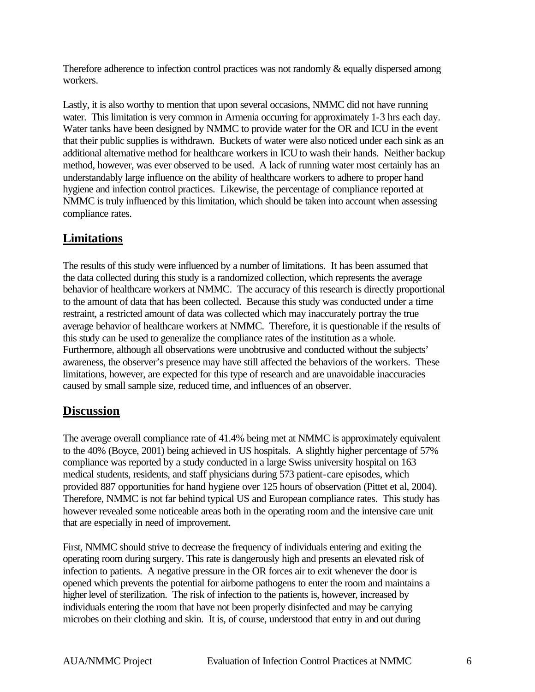Therefore adherence to infection control practices was not randomly & equally dispersed among workers.

Lastly, it is also worthy to mention that upon several occasions, NMMC did not have running water. This limitation is very common in Armenia occurring for approximately 1-3 hrs each day. Water tanks have been designed by NMMC to provide water for the OR and ICU in the event that their public supplies is withdrawn. Buckets of water were also noticed under each sink as an additional alternative method for healthcare workers in ICU to wash their hands. Neither backup method, however, was ever observed to be used. A lack of running water most certainly has an understandably large influence on the ability of healthcare workers to adhere to proper hand hygiene and infection control practices. Likewise, the percentage of compliance reported at NMMC is truly influenced by this limitation, which should be taken into account when assessing compliance rates.

# **Limitations**

The results of this study were influenced by a number of limitations. It has been assumed that the data collected during this study is a randomized collection, which represents the average behavior of healthcare workers at NMMC. The accuracy of this research is directly proportional to the amount of data that has been collected. Because this study was conducted under a time restraint, a restricted amount of data was collected which may inaccurately portray the true average behavior of healthcare workers at NMMC. Therefore, it is questionable if the results of this study can be used to generalize the compliance rates of the institution as a whole. Furthermore, although all observations were unobtrusive and conducted without the subjects' awareness, the observer's presence may have still affected the behaviors of the workers. These limitations, however, are expected for this type of research and are unavoidable inaccuracies caused by small sample size, reduced time, and influences of an observer.

### **Discussion**

The average overall compliance rate of 41.4% being met at NMMC is approximately equivalent to the 40% (Boyce, 2001) being achieved in US hospitals. A slightly higher percentage of 57% compliance was reported by a study conducted in a large Swiss university hospital on 163 medical students, residents, and staff physicians during 573 patient-care episodes, which provided 887 opportunities for hand hygiene over 125 hours of observation (Pittet et al, 2004). Therefore, NMMC is not far behind typical US and European compliance rates. This study has however revealed some noticeable areas both in the operating room and the intensive care unit that are especially in need of improvement.

First, NMMC should strive to decrease the frequency of individuals entering and exiting the operating room during surgery. This rate is dangerously high and presents an elevated risk of infection to patients. A negative pressure in the OR forces air to exit whenever the door is opened which prevents the potential for airborne pathogens to enter the room and maintains a higher level of sterilization. The risk of infection to the patients is, however, increased by individuals entering the room that have not been properly disinfected and may be carrying microbes on their clothing and skin. It is, of course, understood that entry in and out during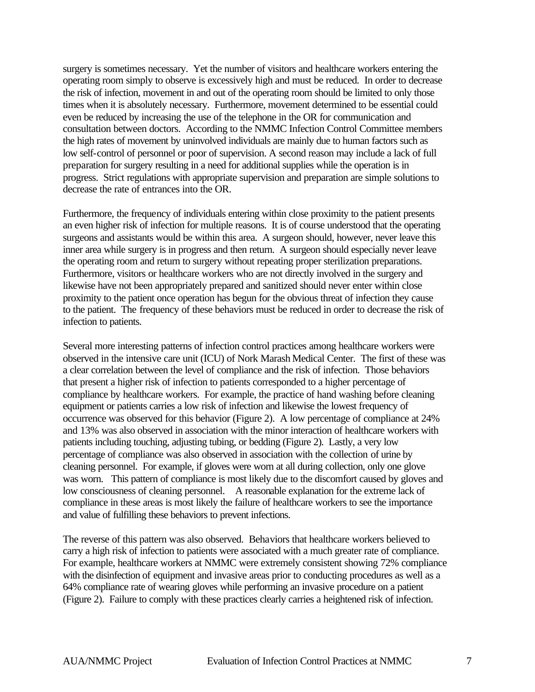surgery is sometimes necessary. Yet the number of visitors and healthcare workers entering the operating room simply to observe is excessively high and must be reduced. In order to decrease the risk of infection, movement in and out of the operating room should be limited to only those times when it is absolutely necessary. Furthermore, movement determined to be essential could even be reduced by increasing the use of the telephone in the OR for communication and consultation between doctors. According to the NMMC Infection Control Committee members the high rates of movement by uninvolved individuals are mainly due to human factors such as low self-control of personnel or poor of supervision. A second reason may include a lack of full preparation for surgery resulting in a need for additional supplies while the operation is in progress. Strict regulations with appropriate supervision and preparation are simple solutions to decrease the rate of entrances into the OR.

Furthermore, the frequency of individuals entering within close proximity to the patient presents an even higher risk of infection for multiple reasons. It is of course understood that the operating surgeons and assistants would be within this area. A surgeon should, however, never leave this inner area while surgery is in progress and then return. A surgeon should especially never leave the operating room and return to surgery without repeating proper sterilization preparations. Furthermore, visitors or healthcare workers who are not directly involved in the surgery and likewise have not been appropriately prepared and sanitized should never enter within close proximity to the patient once operation has begun for the obvious threat of infection they cause to the patient. The frequency of these behaviors must be reduced in order to decrease the risk of infection to patients.

Several more interesting patterns of infection control practices among healthcare workers were observed in the intensive care unit (ICU) of Nork Marash Medical Center. The first of these was a clear correlation between the level of compliance and the risk of infection. Those behaviors that present a higher risk of infection to patients corresponded to a higher percentage of compliance by healthcare workers. For example, the practice of hand washing before cleaning equipment or patients carries a low risk of infection and likewise the lowest frequency of occurrence was observed for this behavior (Figure 2). A low percentage of compliance at 24% and 13% was also observed in association with the minor interaction of healthcare workers with patients including touching, adjusting tubing, or bedding (Figure 2). Lastly, a very low percentage of compliance was also observed in association with the collection of urine by cleaning personnel. For example, if gloves were worn at all during collection, only one glove was worn. This pattern of compliance is most likely due to the discomfort caused by gloves and low consciousness of cleaning personnel. A reasonable explanation for the extreme lack of compliance in these areas is most likely the failure of healthcare workers to see the importance and value of fulfilling these behaviors to prevent infections.

The reverse of this pattern was also observed. Behaviors that healthcare workers believed to carry a high risk of infection to patients were associated with a much greater rate of compliance. For example, healthcare workers at NMMC were extremely consistent showing 72% compliance with the disinfection of equipment and invasive areas prior to conducting procedures as well as a 64% compliance rate of wearing gloves while performing an invasive procedure on a patient (Figure 2). Failure to comply with these practices clearly carries a heightened risk of infection.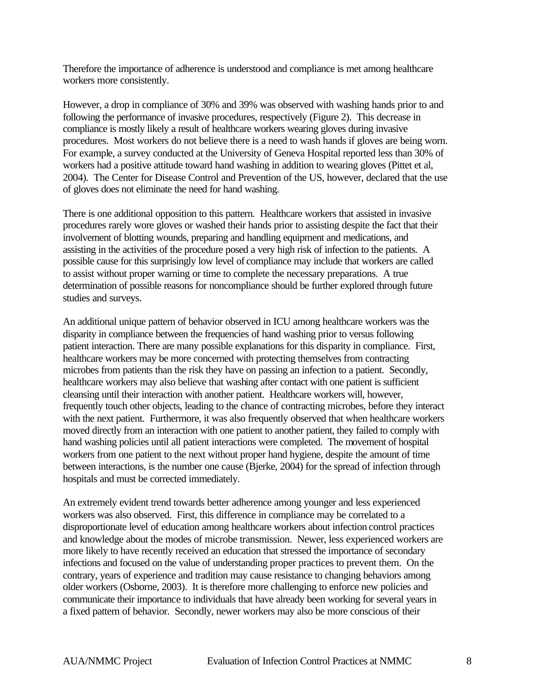Therefore the importance of adherence is understood and compliance is met among healthcare workers more consistently.

However, a drop in compliance of 30% and 39% was observed with washing hands prior to and following the performance of invasive procedures, respectively (Figure 2). This decrease in compliance is mostly likely a result of healthcare workers wearing gloves during invasive procedures. Most workers do not believe there is a need to wash hands if gloves are being worn. For example, a survey conducted at the University of Geneva Hospital reported less than 30% of workers had a positive attitude toward hand washing in addition to wearing gloves (Pittet et al, 2004). The Center for Disease Control and Prevention of the US, however, declared that the use of gloves does not eliminate the need for hand washing.

There is one additional opposition to this pattern. Healthcare workers that assisted in invasive procedures rarely wore gloves or washed their hands prior to assisting despite the fact that their involvement of blotting wounds, preparing and handling equipment and medications, and assisting in the activities of the procedure posed a very high risk of infection to the patients. A possible cause for this surprisingly low level of compliance may include that workers are called to assist without proper warning or time to complete the necessary preparations. A true determination of possible reasons for noncompliance should be further explored through future studies and surveys.

An additional unique pattern of behavior observed in ICU among healthcare workers was the disparity in compliance between the frequencies of hand washing prior to versus following patient interaction. There are many possible explanations for this disparity in compliance. First, healthcare workers may be more concerned with protecting themselves from contracting microbes from patients than the risk they have on passing an infection to a patient. Secondly, healthcare workers may also believe that washing after contact with one patient is sufficient cleansing until their interaction with another patient. Healthcare workers will, however, frequently touch other objects, leading to the chance of contracting microbes, before they interact with the next patient. Furthermore, it was also frequently observed that when healthcare workers moved directly from an interaction with one patient to another patient, they failed to comply with hand washing policies until all patient interactions were completed. The movement of hospital workers from one patient to the next without proper hand hygiene, despite the amount of time between interactions, is the number one cause (Bjerke, 2004) for the spread of infection through hospitals and must be corrected immediately.

An extremely evident trend towards better adherence among younger and less experienced workers was also observed. First, this difference in compliance may be correlated to a disproportionate level of education among healthcare workers about infection control practices and knowledge about the modes of microbe transmission. Newer, less experienced workers are more likely to have recently received an education that stressed the importance of secondary infections and focused on the value of understanding proper practices to prevent them. On the contrary, years of experience and tradition may cause resistance to changing behaviors among older workers (Osborne, 2003). It is therefore more challenging to enforce new policies and communicate their importance to individuals that have already been working for several years in a fixed pattern of behavior. Secondly, newer workers may also be more conscious of their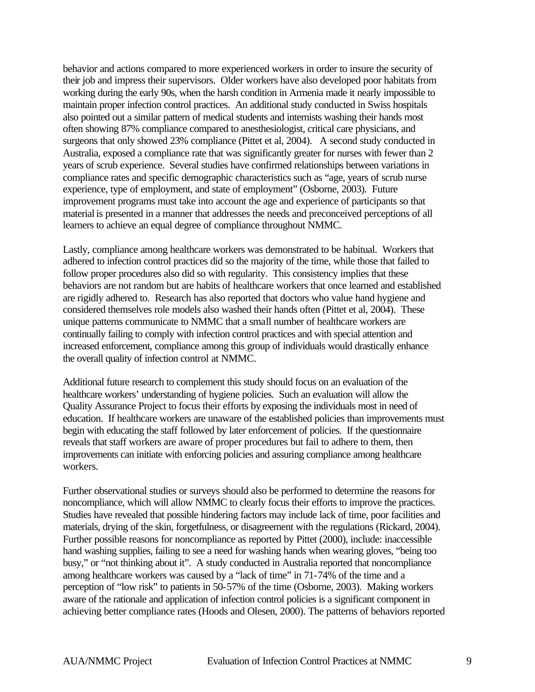behavior and actions compared to more experienced workers in order to insure the security of their job and impress their supervisors. Older workers have also developed poor habitats from working during the early 90s, when the harsh condition in Armenia made it nearly impossible to maintain proper infection control practices. An additional study conducted in Swiss hospitals also pointed out a similar pattern of medical students and internists washing their hands most often showing 87% compliance compared to anesthesiologist, critical care physicians, and surgeons that only showed 23% compliance (Pittet et al, 2004). A second study conducted in Australia, exposed a compliance rate that was significantly greater for nurses with fewer than 2 years of scrub experience. Several studies have confirmed relationships between variations in compliance rates and specific demographic characteristics such as "age, years of scrub nurse experience, type of employment, and state of employment" (Osborne, 2003). Future improvement programs must take into account the age and experience of participants so that material is presented in a manner that addresses the needs and preconceived perceptions of all learners to achieve an equal degree of compliance throughout NMMC.

Lastly, compliance among healthcare workers was demonstrated to be habitual. Workers that adhered to infection control practices did so the majority of the time, while those that failed to follow proper procedures also did so with regularity. This consistency implies that these behaviors are not random but are habits of healthcare workers that once learned and established are rigidly adhered to. Research has also reported that doctors who value hand hygiene and considered themselves role models also washed their hands often (Pittet et al, 2004). These unique patterns communicate to NMMC that a small number of healthcare workers are continually failing to comply with infection control practices and with special attention and increased enforcement, compliance among this group of individuals would drastically enhance the overall quality of infection control at NMMC.

Additional future research to complement this study should focus on an evaluation of the healthcare workers' understanding of hygiene policies. Such an evaluation will allow the Quality Assurance Project to focus their efforts by exposing the individuals most in need of education. If healthcare workers are unaware of the established policies than improvements must begin with educating the staff followed by later enforcement of policies. If the questionnaire reveals that staff workers are aware of proper procedures but fail to adhere to them, then improvements can initiate with enforcing policies and assuring compliance among healthcare workers.

Further observational studies or surveys should also be performed to determine the reasons for noncompliance, which will allow NMMC to clearly focus their efforts to improve the practices. Studies have revealed that possible hindering factors may include lack of time, poor facilities and materials, drying of the skin, forgetfulness, or disagreement with the regulations (Rickard, 2004). Further possible reasons for noncompliance as reported by Pittet (2000), include: inaccessible hand washing supplies, failing to see a need for washing hands when wearing gloves, "being too busy," or "not thinking about it". A study conducted in Australia reported that noncompliance among healthcare workers was caused by a "lack of time" in 71-74% of the time and a perception of "low risk" to patients in 50-57% of the time (Osborne, 2003). Making workers aware of the rationale and application of infection control policies is a significant component in achieving better compliance rates (Hoods and Olesen, 2000). The patterns of behaviors reported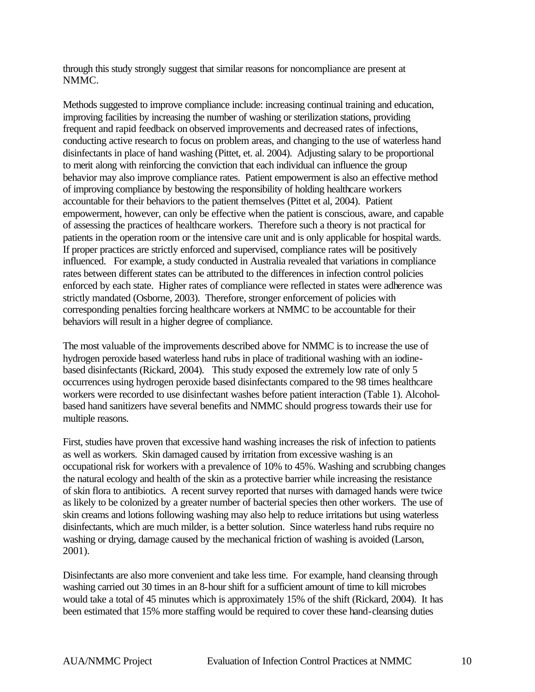through this study strongly suggest that similar reasons for noncompliance are present at NMMC.

Methods suggested to improve compliance include: increasing continual training and education, improving facilities by increasing the number of washing or sterilization stations, providing frequent and rapid feedback on observed improvements and decreased rates of infections, conducting active research to focus on problem areas, and changing to the use of waterless hand disinfectants in place of hand washing (Pittet, et. al. 2004). Adjusting salary to be proportional to merit along with reinforcing the conviction that each individual can influence the group behavior may also improve compliance rates. Patient empowerment is also an effective method of improving compliance by bestowing the responsibility of holding healthcare workers accountable for their behaviors to the patient themselves (Pittet et al, 2004). Patient empowerment, however, can only be effective when the patient is conscious, aware, and capable of assessing the practices of healthcare workers. Therefore such a theory is not practical for patients in the operation room or the intensive care unit and is only applicable for hospital wards. If proper practices are strictly enforced and supervised, compliance rates will be positively influenced. For example, a study conducted in Australia revealed that variations in compliance rates between different states can be attributed to the differences in infection control policies enforced by each state. Higher rates of compliance were reflected in states were adherence was strictly mandated (Osborne, 2003). Therefore, stronger enforcement of policies with corresponding penalties forcing healthcare workers at NMMC to be accountable for their behaviors will result in a higher degree of compliance.

The most valuable of the improvements described above for NMMC is to increase the use of hydrogen peroxide based waterless hand rubs in place of traditional washing with an iodinebased disinfectants (Rickard, 2004). This study exposed the extremely low rate of only 5 occurrences using hydrogen peroxide based disinfectants compared to the 98 times healthcare workers were recorded to use disinfectant washes before patient interaction (Table 1). Alcoholbased hand sanitizers have several benefits and NMMC should progress towards their use for multiple reasons.

First, studies have proven that excessive hand washing increases the risk of infection to patients as well as workers. Skin damaged caused by irritation from excessive washing is an occupational risk for workers with a prevalence of 10% to 45%. Washing and scrubbing changes the natural ecology and health of the skin as a protective barrier while increasing the resistance of skin flora to antibiotics. A recent survey reported that nurses with damaged hands were twice as likely to be colonized by a greater number of bacterial species then other workers. The use of skin creams and lotions following washing may also help to reduce irritations but using waterless disinfectants, which are much milder, is a better solution. Since waterless hand rubs require no washing or drying, damage caused by the mechanical friction of washing is avoided (Larson, 2001).

Disinfectants are also more convenient and take less time. For example, hand cleansing through washing carried out 30 times in an 8-hour shift for a sufficient amount of time to kill microbes would take a total of 45 minutes which is approximately 15% of the shift (Rickard, 2004). It has been estimated that 15% more staffing would be required to cover these hand-cleansing duties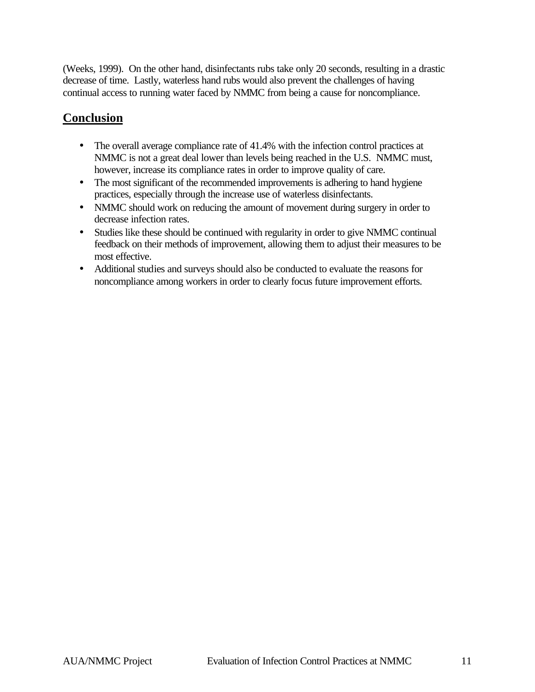(Weeks, 1999). On the other hand, disinfectants rubs take only 20 seconds, resulting in a drastic decrease of time. Lastly, waterless hand rubs would also prevent the challenges of having continual access to running water faced by NMMC from being a cause for noncompliance.

# **Conclusion**

- The overall average compliance rate of 41.4% with the infection control practices at NMMC is not a great deal lower than levels being reached in the U.S. NMMC must, however, increase its compliance rates in order to improve quality of care.
- The most significant of the recommended improvements is adhering to hand hygiene practices, especially through the increase use of waterless disinfectants.
- NMMC should work on reducing the amount of movement during surgery in order to decrease infection rates.
- Studies like these should be continued with regularity in order to give NMMC continual feedback on their methods of improvement, allowing them to adjust their measures to be most effective.
- Additional studies and surveys should also be conducted to evaluate the reasons for noncompliance among workers in order to clearly focus future improvement efforts.